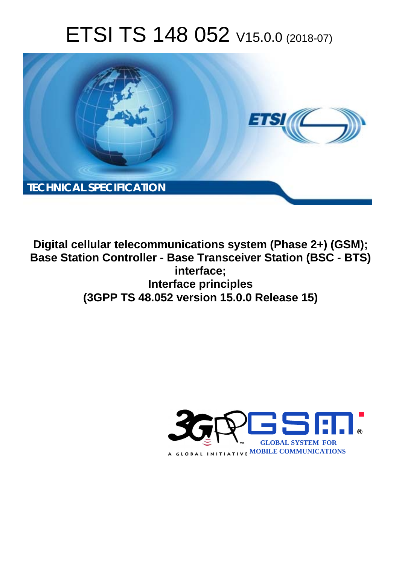# ETSI TS 148 052 V15.0.0 (2018-07)



**Digital cellular telecommunications system (Phase 2+) (GSM); Base Station Controller - Base Transceiver Station (BSC - BTS) interface; Interface principles (3GPP TS 48.052 version 15.0.0 Release 15)** 

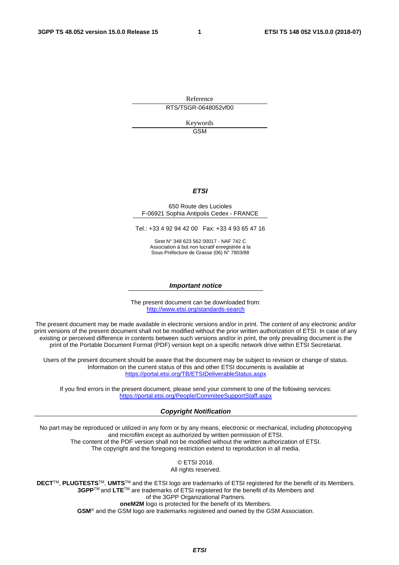Reference RTS/TSGR-0648052vf00

> Keywords GSM

#### *ETSI*

#### 650 Route des Lucioles F-06921 Sophia Antipolis Cedex - FRANCE

Tel.: +33 4 92 94 42 00 Fax: +33 4 93 65 47 16

Siret N° 348 623 562 00017 - NAF 742 C Association à but non lucratif enregistrée à la Sous-Préfecture de Grasse (06) N° 7803/88

#### *Important notice*

The present document can be downloaded from: <http://www.etsi.org/standards-search>

The present document may be made available in electronic versions and/or in print. The content of any electronic and/or print versions of the present document shall not be modified without the prior written authorization of ETSI. In case of any existing or perceived difference in contents between such versions and/or in print, the only prevailing document is the print of the Portable Document Format (PDF) version kept on a specific network drive within ETSI Secretariat.

Users of the present document should be aware that the document may be subject to revision or change of status. Information on the current status of this and other ETSI documents is available at <https://portal.etsi.org/TB/ETSIDeliverableStatus.aspx>

If you find errors in the present document, please send your comment to one of the following services: <https://portal.etsi.org/People/CommiteeSupportStaff.aspx>

#### *Copyright Notification*

No part may be reproduced or utilized in any form or by any means, electronic or mechanical, including photocopying and microfilm except as authorized by written permission of ETSI. The content of the PDF version shall not be modified without the written authorization of ETSI. The copyright and the foregoing restriction extend to reproduction in all media.

> © ETSI 2018. All rights reserved.

**DECT**TM, **PLUGTESTS**TM, **UMTS**TM and the ETSI logo are trademarks of ETSI registered for the benefit of its Members. **3GPP**TM and **LTE**TM are trademarks of ETSI registered for the benefit of its Members and of the 3GPP Organizational Partners. **oneM2M** logo is protected for the benefit of its Members.

**GSM**® and the GSM logo are trademarks registered and owned by the GSM Association.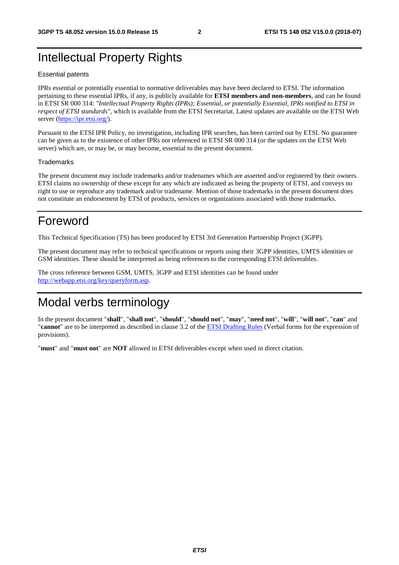# Intellectual Property Rights

#### Essential patents

IPRs essential or potentially essential to normative deliverables may have been declared to ETSI. The information pertaining to these essential IPRs, if any, is publicly available for **ETSI members and non-members**, and can be found in ETSI SR 000 314: *"Intellectual Property Rights (IPRs); Essential, or potentially Essential, IPRs notified to ETSI in respect of ETSI standards"*, which is available from the ETSI Secretariat. Latest updates are available on the ETSI Web server ([https://ipr.etsi.org/\)](https://ipr.etsi.org/).

Pursuant to the ETSI IPR Policy, no investigation, including IPR searches, has been carried out by ETSI. No guarantee can be given as to the existence of other IPRs not referenced in ETSI SR 000 314 (or the updates on the ETSI Web server) which are, or may be, or may become, essential to the present document.

#### **Trademarks**

The present document may include trademarks and/or tradenames which are asserted and/or registered by their owners. ETSI claims no ownership of these except for any which are indicated as being the property of ETSI, and conveys no right to use or reproduce any trademark and/or tradename. Mention of those trademarks in the present document does not constitute an endorsement by ETSI of products, services or organizations associated with those trademarks.

# Foreword

This Technical Specification (TS) has been produced by ETSI 3rd Generation Partnership Project (3GPP).

The present document may refer to technical specifications or reports using their 3GPP identities, UMTS identities or GSM identities. These should be interpreted as being references to the corresponding ETSI deliverables.

The cross reference between GSM, UMTS, 3GPP and ETSI identities can be found under [http://webapp.etsi.org/key/queryform.asp.](http://webapp.etsi.org/key/queryform.asp)

# Modal verbs terminology

In the present document "**shall**", "**shall not**", "**should**", "**should not**", "**may**", "**need not**", "**will**", "**will not**", "**can**" and "**cannot**" are to be interpreted as described in clause 3.2 of the [ETSI Drafting Rules](https://portal.etsi.org/Services/editHelp!/Howtostart/ETSIDraftingRules.aspx) (Verbal forms for the expression of provisions).

"**must**" and "**must not**" are **NOT** allowed in ETSI deliverables except when used in direct citation.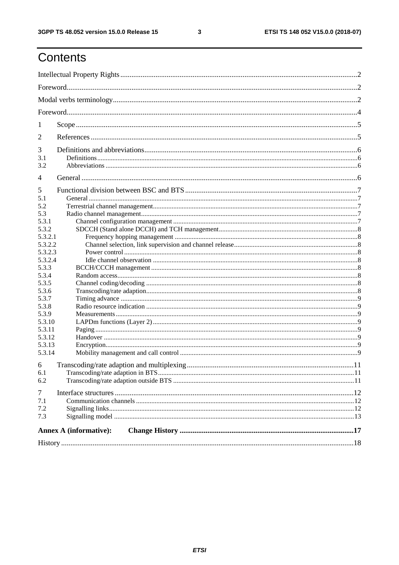$\mathbf{3}$ 

# Contents

| $\mathbf{I}$   |                               |  |  |  |  |  |  |
|----------------|-------------------------------|--|--|--|--|--|--|
| 2              |                               |  |  |  |  |  |  |
| 3              |                               |  |  |  |  |  |  |
| 3.1            |                               |  |  |  |  |  |  |
| 3.2            |                               |  |  |  |  |  |  |
| $\overline{4}$ |                               |  |  |  |  |  |  |
| 5              |                               |  |  |  |  |  |  |
| 5.1            |                               |  |  |  |  |  |  |
| 5.2            |                               |  |  |  |  |  |  |
| 5.3            |                               |  |  |  |  |  |  |
| 5.3.1          |                               |  |  |  |  |  |  |
| 5.3.2          |                               |  |  |  |  |  |  |
| 5.3.2.1        |                               |  |  |  |  |  |  |
| 5.3.2.2        |                               |  |  |  |  |  |  |
| 5.3.2.3        |                               |  |  |  |  |  |  |
| 5.3.2.4        |                               |  |  |  |  |  |  |
| 5.3.3          |                               |  |  |  |  |  |  |
| 5.3.4          |                               |  |  |  |  |  |  |
| 5.3.5          |                               |  |  |  |  |  |  |
| 5.3.6          |                               |  |  |  |  |  |  |
| 5.3.7          |                               |  |  |  |  |  |  |
| 5.3.8          |                               |  |  |  |  |  |  |
| 5.3.9          |                               |  |  |  |  |  |  |
| 5.3.10         |                               |  |  |  |  |  |  |
| 5.3.11         |                               |  |  |  |  |  |  |
| 5.3.12         |                               |  |  |  |  |  |  |
| 5.3.13         |                               |  |  |  |  |  |  |
| 5.3.14         |                               |  |  |  |  |  |  |
| 6              |                               |  |  |  |  |  |  |
| 6.1            |                               |  |  |  |  |  |  |
| 6.2            |                               |  |  |  |  |  |  |
| 7              |                               |  |  |  |  |  |  |
| 7.1            |                               |  |  |  |  |  |  |
| 7.2            |                               |  |  |  |  |  |  |
| 7.3            |                               |  |  |  |  |  |  |
|                | <b>Annex A (informative):</b> |  |  |  |  |  |  |
|                |                               |  |  |  |  |  |  |
|                |                               |  |  |  |  |  |  |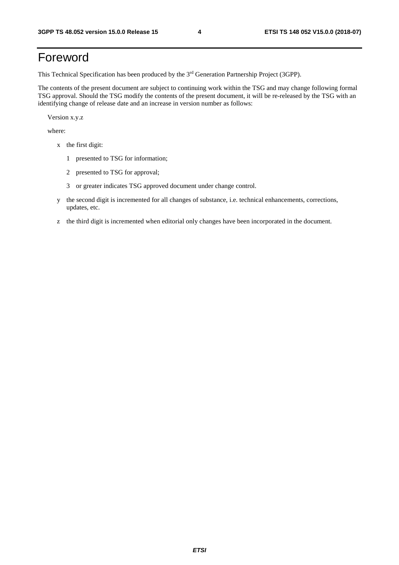# Foreword

This Technical Specification has been produced by the 3rd Generation Partnership Project (3GPP).

The contents of the present document are subject to continuing work within the TSG and may change following formal TSG approval. Should the TSG modify the contents of the present document, it will be re-released by the TSG with an identifying change of release date and an increase in version number as follows:

Version x.y.z

where:

- x the first digit:
	- 1 presented to TSG for information;
	- 2 presented to TSG for approval;
	- 3 or greater indicates TSG approved document under change control.
- y the second digit is incremented for all changes of substance, i.e. technical enhancements, corrections, updates, etc.
- z the third digit is incremented when editorial only changes have been incorporated in the document.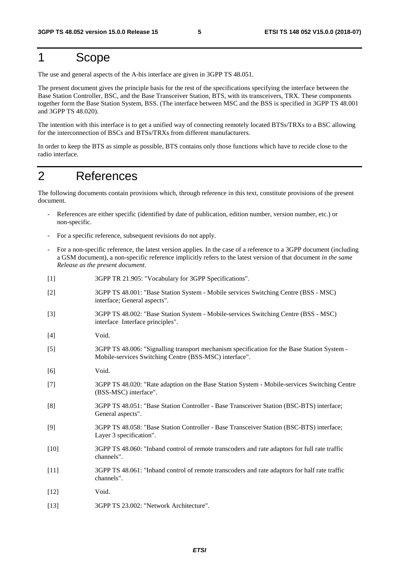# 1 Scope

The use and general aspects of the A-bis interface are given in 3GPP TS 48.051.

The present document gives the principle basis for the rest of the specifications specifying the interface between the Base Station Controller, BSC, and the Base Transceiver Station, BTS, with its transceivers, TRX. These components together form the Base Station System, BSS. (The interface between MSC and the BSS is specified in 3GPP TS 48.001 and 3GPP TS 48.020).

The intention with this interface is to get a unified way of connecting remotely located BTSs/TRXs to a BSC allowing for the interconnection of BSCs and BTSs/TRXs from different manufacturers.

In order to keep the BTS as simple as possible, BTS contains only those functions which have to recide close to the radio interface.

# 2 References

The following documents contain provisions which, through reference in this text, constitute provisions of the present document.

- References are either specific (identified by date of publication, edition number, version number, etc.) or non-specific.
- For a specific reference, subsequent revisions do not apply.
- For a non-specific reference, the latest version applies. In the case of a reference to a 3GPP document (including a GSM document), a non-specific reference implicitly refers to the latest version of that document *in the same Release as the present document*.
- [1] 3GPP TR 21.905: "Vocabulary for 3GPP Specifications".
- [2] 3GPP TS 48.001: "Base Station System Mobile services Switching Centre (BSS MSC) interface; General aspects".
- [3] 3GPP TS 48.002: "Base Station System Mobile-services Switching Centre (BSS MSC) interface Interface principles".
- [4] Void.
- [5] 3GPP TS 48.006: "Signalling transport mechanism specification for the Base Station System Mobile-services Switching Centre (BSS-MSC) interface".
- [6] Void.
- [7] 3GPP TS 48.020: "Rate adaption on the Base Station System Mobile-services Switching Centre (BSS-MSC) interface".
- [8] 3GPP TS 48.051: "Base Station Controller Base Transceiver Station (BSC-BTS) interface; General aspects".
- [9] 3GPP TS 48.058: "Base Station Controller Base Transceiver Station (BSC-BTS) interface; Layer 3 specification".
- [10] 3GPP TS 48.060: "Inband control of remote transcoders and rate adaptors for full rate traffic channels".
- [11] 3GPP TS 48.061: "Inband control of remote transcoders and rate adaptors for half rate traffic channels".
- [12] Void.
- [13] 3GPP TS 23.002: "Network Architecture".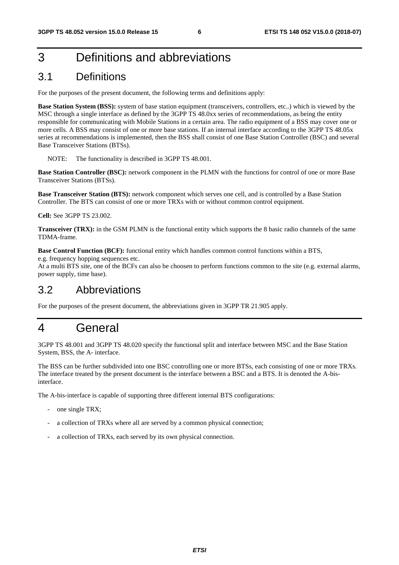# 3 Definitions and abbreviations

# 3.1 Definitions

For the purposes of the present document, the following terms and definitions apply:

**Base Station System (BSS):** system of base station equipment (transceivers, controllers, etc..) which is viewed by the MSC through a single interface as defined by the 3GPP TS 48.0xx series of recommendations, as being the entity responsible for communicating with Mobile Stations in a certain area. The radio equipment of a BSS may cover one or more cells. A BSS may consist of one or more base stations. If an internal interface according to the 3GPP TS 48.05x series at recommendations is implemented, then the BSS shall consist of one Base Station Controller (BSC) and several Base Transceiver Stations (BTSs).

NOTE: The functionality is described in 3GPP TS 48.001.

**Base Station Controller (BSC):** network component in the PLMN with the functions for control of one or more Base Transceiver Stations (BTSs).

**Base Transceiver Station (BTS):** network component which serves one cell, and is controlled by a Base Station Controller. The BTS can consist of one or more TRXs with or without common control equipment.

**Cell:** See 3GPP TS 23.002.

**Transceiver (TRX):** in the GSM PLMN is the functional entity which supports the 8 basic radio channels of the same TDMA-frame.

**Base Control Function (BCF):** functional entity which handles common control functions within a BTS,

e.g. frequency hopping sequences etc.

At a multi BTS site, one of the BCFs can also be choosen to perform functions common to the site (e.g. external alarms, power supply, time base).

# 3.2 Abbreviations

For the purposes of the present document, the abbreviations given in 3GPP TR 21.905 apply.

# 4 General

3GPP TS 48.001 and 3GPP TS 48.020 specify the functional split and interface between MSC and the Base Station System, BSS, the A- interface.

The BSS can be further subdivided into one BSC controlling one or more BTSs, each consisting of one or more TRXs. The interface treated by the present document is the interface between a BSC and a BTS. It is denoted the A-bisinterface.

The A-bis-interface is capable of supporting three different internal BTS configurations:

- one single TRX;
- a collection of TRXs where all are served by a common physical connection;
- a collection of TRXs, each served by its own physical connection.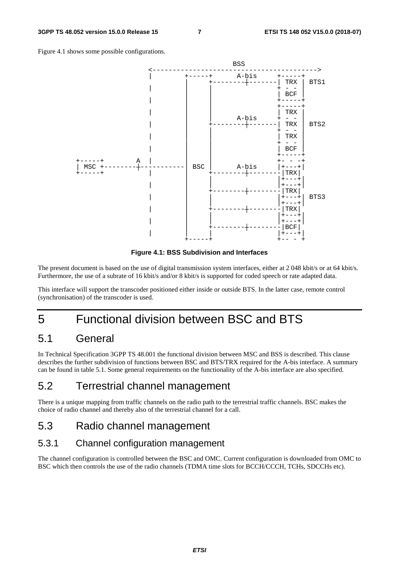Figure 4.1 shows some possible configurations.



**Figure 4.1: BSS Subdivision and Interfaces** 

The present document is based on the use of digital transmission system interfaces, either at 2 048 kbit/s or at 64 kbit/s. Furthermore, the use of a subrate of 16 kbit/s and/or 8 kbit/s is supported for coded speech or rate adapted data.

This interface will support the transcoder positioned either inside or outside BTS. In the latter case, remote control (synchronisation) of the transcoder is used.

# 5 Functional division between BSC and BTS

# 5.1 General

In Technical Specification 3GPP TS 48.001 the functional division between MSC and BSS is described. This clause describes the further subdivision of functions between BSC and BTS/TRX required for the A-bis interface. A summary can be found in table 5.1. Some general requirements on the functionality of the A-bis interface are also specified.

## 5.2 Terrestrial channel management

There is a unique mapping from traffic channels on the radio path to the terrestrial traffic channels. BSC makes the choice of radio channel and thereby also of the terrestrial channel for a call.

# 5.3 Radio channel management

### 5.3.1 Channel configuration management

The channel configuration is controlled between the BSC and OMC. Current configuration is downloaded from OMC to BSC which then controls the use of the radio channels (TDMA time slots for BCCH/CCCH, TCHs, SDCCHs etc).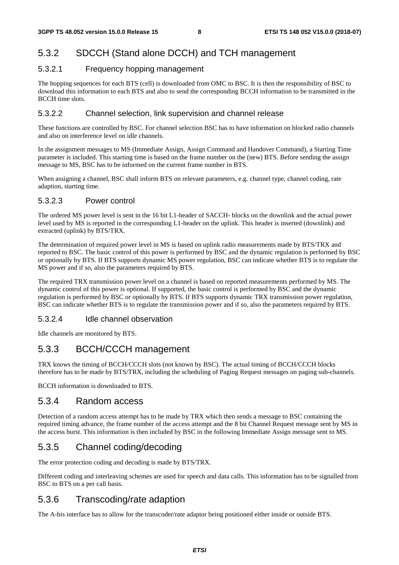### 5.3.2 SDCCH (Stand alone DCCH) and TCH management

#### 5.3.2.1 Frequency hopping management

The hopping sequences for each BTS (cell) is downloaded from OMC to BSC. It is then the responsibility of BSC to download this information to each BTS and also to send the corresponding BCCH information to be transmitted in the BCCH time slots.

#### 5.3.2.2 Channel selection, link supervision and channel release

These functions are controlled by BSC. For channel selection BSC has to have information on blocked radio channels and also on interference level on idle channels.

In the assignment messages to MS (Immediate Assign, Assign Command and Handover Command), a Starting Time parameter is included. This starting time is based on the frame number on the (new) BTS. Before sending the assign message to MS, BSC has to be informed on the current frame number in BTS.

When assigning a channel, BSC shall inform BTS on relevant parameters, e.g. channel type, channel coding, rate adaption, starting time.

#### 5.3.2.3 Power control

The ordered MS power level is sent in the 16 bit L1-header of SACCH- blocks on the downlink and the actual power level used by MS is reported in the corresponding L1-header on the uplink. This header is inserted (downlink) and extracted (uplink) by BTS/TRX.

The determination of required power level in MS is based on uplink radio measurements made by BTS/TRX and reported to BSC. The basic control of this power is performed by BSC and the dynamic regulation is performed by BSC or optionally by BTS. If BTS supports dynamic MS power regulation, BSC can indicate whether BTS is to regulate the MS power and if so, also the parameters required by BTS.

The required TRX transmission power level on a channel is based on reported measurements performed by MS. The dynamic control of this power is optional. If supported, the basic control is performed by BSC and the dynamic regulation is performed by BSC or optionally by BTS. If BTS supports dynamic TRX transmission power regulation, BSC can indicate whether BTS is to regulate the transmission power and if so, also the parameters required by BTS.

#### 5.3.2.4 Idle channel observation

Idle channels are monitored by BTS.

### 5.3.3 BCCH/CCCH management

TRX knows the timing of BCCH/CCCH slots (not known by BSC). The actual timing of BCCH/CCCH blocks therefore has to be made by BTS/TRX, including the scheduling of Paging Request messages on paging sub-channels.

BCCH information is downloaded to BTS.

#### 5.3.4 Random access

Detection of a random access attempt has to be made by TRX which then sends a message to BSC containing the required timing advance, the frame number of the access attempt and the 8 bit Channel Request message sent by MS in the access burst. This information is then included by BSC in the following Immediate Assign message sent to MS.

### 5.3.5 Channel coding/decoding

The error protection coding and decoding is made by BTS/TRX.

Different coding and interleaving schemes are used for speech and data calls. This information has to be signalled from BSC to BTS on a per call basis.

### 5.3.6 Transcoding/rate adaption

The A-bis interface has to allow for the transcoder/rate adaptor being positioned either inside or outside BTS.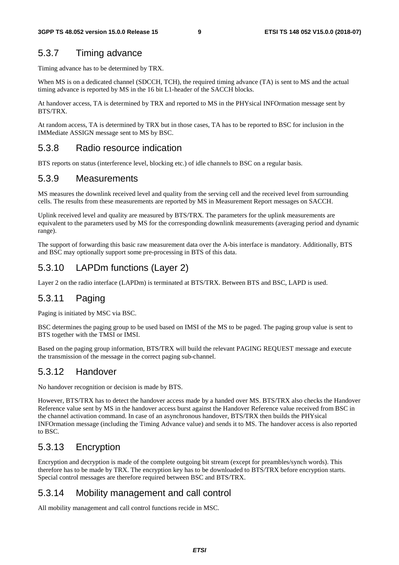### 5.3.7 Timing advance

Timing advance has to be determined by TRX.

When MS is on a dedicated channel (SDCCH, TCH), the required timing advance (TA) is sent to MS and the actual timing advance is reported by MS in the 16 bit L1-header of the SACCH blocks.

At handover access, TA is determined by TRX and reported to MS in the PHYsical INFOrmation message sent by BTS/TRX.

At random access, TA is determined by TRX but in those cases, TA has to be reported to BSC for inclusion in the IMMediate ASSIGN message sent to MS by BSC.

### 5.3.8 Radio resource indication

BTS reports on status (interference level, blocking etc.) of idle channels to BSC on a regular basis.

### 5.3.9 Measurements

MS measures the downlink received level and quality from the serving cell and the received level from surrounding cells. The results from these measurements are reported by MS in Measurement Report messages on SACCH.

Uplink received level and quality are measured by BTS/TRX. The parameters for the uplink measurements are equivalent to the parameters used by MS for the corresponding downlink measurements (averaging period and dynamic range).

The support of forwarding this basic raw measurement data over the A-bis interface is mandatory. Additionally, BTS and BSC may optionally support some pre-processing in BTS of this data.

## 5.3.10 LAPDm functions (Layer 2)

Layer 2 on the radio interface (LAPDm) is terminated at BTS/TRX. Between BTS and BSC, LAPD is used.

### 5.3.11 Paging

Paging is initiated by MSC via BSC.

BSC determines the paging group to be used based on IMSI of the MS to be paged. The paging group value is sent to BTS together with the TMSI or IMSI.

Based on the paging group information, BTS/TRX will build the relevant PAGING REQUEST message and execute the transmission of the message in the correct paging sub-channel.

### 5.3.12 Handover

No handover recognition or decision is made by BTS.

However, BTS/TRX has to detect the handover access made by a handed over MS. BTS/TRX also checks the Handover Reference value sent by MS in the handover access burst against the Handover Reference value received from BSC in the channel activation command. In case of an asynchronous handover, BTS/TRX then builds the PHYsical INFOrmation message (including the Timing Advance value) and sends it to MS. The handover access is also reported to BSC.

## 5.3.13 Encryption

Encryption and decryption is made of the complete outgoing bit stream (except for preambles/synch words). This therefore has to be made by TRX. The encryption key has to be downloaded to BTS/TRX before encryption starts. Special control messages are therefore required between BSC and BTS/TRX.

### 5.3.14 Mobility management and call control

All mobility management and call control functions recide in MSC.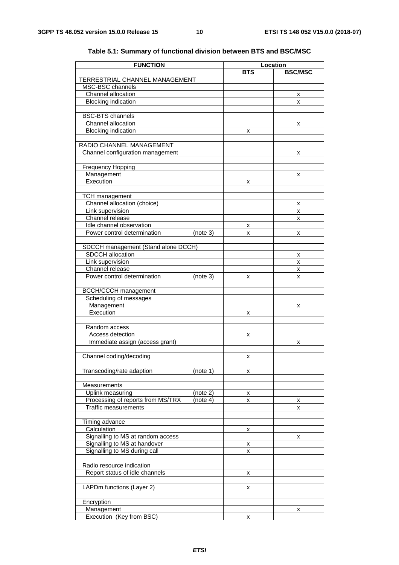| <b>FUNCTION</b>                                                |          |            | Location       |
|----------------------------------------------------------------|----------|------------|----------------|
|                                                                |          | <b>BTS</b> | <b>BSC/MSC</b> |
| TERRESTRIAL CHANNEL MANAGEMENT                                 |          |            |                |
| MSC-BSC channels                                               |          |            |                |
| Channel allocation                                             |          |            | x              |
| <b>Blocking indication</b>                                     |          |            | x              |
| <b>BSC-BTS</b> channels                                        |          |            |                |
| Channel allocation                                             |          |            | x              |
| <b>Blocking indication</b>                                     |          | x          |                |
|                                                                |          |            |                |
| RADIO CHANNEL MANAGEMENT                                       |          |            |                |
| Channel configuration management                               |          |            | x              |
|                                                                |          |            |                |
| <b>Frequency Hopping</b>                                       |          |            |                |
| Management<br>Execution                                        |          |            | x              |
|                                                                |          | x          |                |
| <b>TCH</b> management                                          |          |            |                |
| Channel allocation (choice)                                    |          |            | х              |
| Link supervision                                               |          |            | x              |
| Channel release                                                |          |            | X              |
| Idle channel observation                                       |          | х          |                |
| Power control determination                                    | (note 3) | x          | x              |
|                                                                |          |            |                |
| SDCCH management (Stand alone DCCH)<br><b>SDCCH</b> allocation |          |            |                |
| Link supervision                                               |          |            | х<br>X         |
| Channel release                                                |          |            | x              |
| Power control determination                                    | (note 3) | x          | x              |
|                                                                |          |            |                |
| <b>BCCH/CCCH</b> management                                    |          |            |                |
| Scheduling of messages                                         |          |            |                |
| Management                                                     |          |            | x              |
| Execution                                                      |          | x          |                |
| Random access                                                  |          |            |                |
| Access detection                                               |          | x          |                |
| Immediate assign (access grant)                                |          |            | x              |
|                                                                |          |            |                |
| Channel coding/decoding                                        |          | x          |                |
|                                                                |          |            |                |
| Transcoding/rate adaption                                      | (note 1) | x          |                |
|                                                                |          |            |                |
| Measurements<br>Uplink measuring                               | (note 2) |            |                |
| Processing of reports from MS/TRX                              | (note 4) | х<br>x     | х              |
| <b>Traffic measurements</b>                                    |          |            | x              |
|                                                                |          |            |                |
| Timing advance                                                 |          |            |                |
| Calculation                                                    |          | х          |                |
| Signalling to MS at random access                              |          |            | x              |
| Signalling to MS at handover                                   |          | х          |                |
| Signalling to MS during call                                   |          | x          |                |
| Radio resource indication                                      |          |            |                |
| Report status of idle channels                                 |          |            |                |
|                                                                |          | x          |                |
| LAPDm functions (Layer 2)                                      |          | x          |                |
|                                                                |          |            |                |
| Encryption                                                     |          |            |                |
| Management                                                     |          |            | х              |
| Execution (Key from BSC)                                       |          | х          |                |

#### **Table 5.1: Summary of functional division between BTS and BSC/MSC**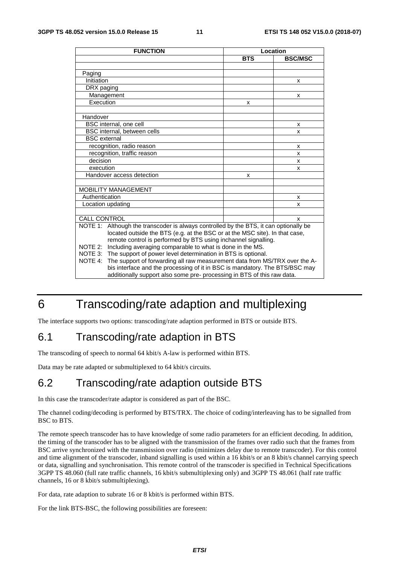| <b>FUNCTION</b>                                                                                                                                    |            | Location       |  |  |  |  |  |
|----------------------------------------------------------------------------------------------------------------------------------------------------|------------|----------------|--|--|--|--|--|
|                                                                                                                                                    | <b>BTS</b> | <b>BSC/MSC</b> |  |  |  |  |  |
|                                                                                                                                                    |            |                |  |  |  |  |  |
| Paging                                                                                                                                             |            |                |  |  |  |  |  |
| Initiation                                                                                                                                         |            | X              |  |  |  |  |  |
| DRX paging                                                                                                                                         |            |                |  |  |  |  |  |
| Management                                                                                                                                         |            | X              |  |  |  |  |  |
| Execution                                                                                                                                          | x          |                |  |  |  |  |  |
|                                                                                                                                                    |            |                |  |  |  |  |  |
| Handover                                                                                                                                           |            |                |  |  |  |  |  |
| BSC internal, one cell                                                                                                                             |            | x              |  |  |  |  |  |
| BSC internal, between cells                                                                                                                        |            | x              |  |  |  |  |  |
| <b>BSC</b> external                                                                                                                                |            |                |  |  |  |  |  |
| recognition, radio reason                                                                                                                          |            | x              |  |  |  |  |  |
| recognition, traffic reason                                                                                                                        |            | x              |  |  |  |  |  |
| decision                                                                                                                                           |            | x              |  |  |  |  |  |
| execution                                                                                                                                          |            | x              |  |  |  |  |  |
| Handover access detection                                                                                                                          | х          |                |  |  |  |  |  |
|                                                                                                                                                    |            |                |  |  |  |  |  |
| <b>MOBILITY MANAGEMENT</b>                                                                                                                         |            |                |  |  |  |  |  |
| Authentication                                                                                                                                     |            | x              |  |  |  |  |  |
| Location updating                                                                                                                                  |            | x              |  |  |  |  |  |
|                                                                                                                                                    |            |                |  |  |  |  |  |
| <b>CALL CONTROL</b>                                                                                                                                |            | x              |  |  |  |  |  |
| Although the transcoder is always controlled by the BTS, it can optionally be<br>NOTE 1:                                                           |            |                |  |  |  |  |  |
| located outside the BTS (e.g. at the BSC or at the MSC site). In that case,                                                                        |            |                |  |  |  |  |  |
| remote control is performed by BTS using inchannel signalling.                                                                                     |            |                |  |  |  |  |  |
| Including averaging comparable to what is done in the MS.<br>NOTE 2:                                                                               |            |                |  |  |  |  |  |
| NOTE 3: The support of power level determination in BTS is optional.<br>The support of forwarding all raw measurement data from MS/TRX over the A- |            |                |  |  |  |  |  |
| NOTE 4:                                                                                                                                            |            |                |  |  |  |  |  |
| bis interface and the processing of it in BSC is mandatory. The BTS/BSC may                                                                        |            |                |  |  |  |  |  |
| additionally support also some pre- processing in BTS of this raw data.                                                                            |            |                |  |  |  |  |  |

# 6 Transcoding/rate adaption and multiplexing

The interface supports two options: transcoding/rate adaption performed in BTS or outside BTS.

# 6.1 Transcoding/rate adaption in BTS

The transcoding of speech to normal 64 kbit/s A-law is performed within BTS.

Data may be rate adapted or submultiplexed to 64 kbit/s circuits.

# 6.2 Transcoding/rate adaption outside BTS

In this case the transcoder/rate adaptor is considered as part of the BSC.

The channel coding/decoding is performed by BTS/TRX. The choice of coding/interleaving has to be signalled from BSC to BTS.

The remote speech transcoder has to have knowledge of some radio parameters for an efficient decoding. In addition, the timing of the transcoder has to be aligned with the transmission of the frames over radio such that the frames from BSC arrive synchronized with the transmission over radio (minimizes delay due to remote transcoder). For this control and time alignment of the transcoder, inband signalling is used within a 16 kbit/s or an 8 kbit/s channel carrying speech or data, signalling and synchronisation. This remote control of the transcoder is specified in Technical Specifications 3GPP TS 48.060 (full rate traffic channels, 16 kbit/s submultiplexing only) and 3GPP TS 48.061 (half rate traffic channels, 16 or 8 kbit/s submultiplexing).

For data, rate adaption to subrate 16 or 8 kbit/s is performed within BTS.

For the link BTS-BSC, the following possibilities are foreseen: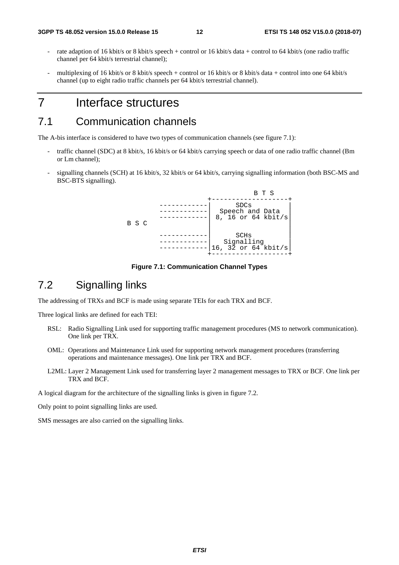- rate adaption of 16 kbit/s or 8 kbit/s speech + control or 16 kbit/s data + control to 64 kbit/s (one radio traffic channel per 64 kbit/s terrestrial channel);
- multiplexing of 16 kbit/s or 8 kbit/s speech + control or 16 kbit/s or 8 kbit/s data + control into one 64 kbit/s channel (up to eight radio traffic channels per 64 kbit/s terrestrial channel).

# 7 Interface structures

# 7.1 Communication channels

The A-bis interface is considered to have two types of communication channels (see figure 7.1):

- traffic channel (SDC) at 8 kbit/s, 16 kbit/s or 64 kbit/s carrying speech or data of one radio traffic channel (Bm or Lm channel);
- signalling channels (SCH) at 16 kbit/s, 32 kbit/s or 64 kbit/s, carrying signalling information (both BSC-MS and BSC-BTS signalling).



**Figure 7.1: Communication Channel Types** 

# 7.2 Signalling links

The addressing of TRXs and BCF is made using separate TEIs for each TRX and BCF.

Three logical links are defined for each TEI:

- RSL: Radio Signalling Link used for supporting traffic management procedures (MS to network communication). One link per TRX.
- OML: Operations and Maintenance Link used for supporting network management procedures (transferring operations and maintenance messages). One link per TRX and BCF.
- L2ML: Layer 2 Management Link used for transferring layer 2 management messages to TRX or BCF. One link per TRX and BCF.

A logical diagram for the architecture of the signalling links is given in figure 7.2.

Only point to point signalling links are used.

SMS messages are also carried on the signalling links.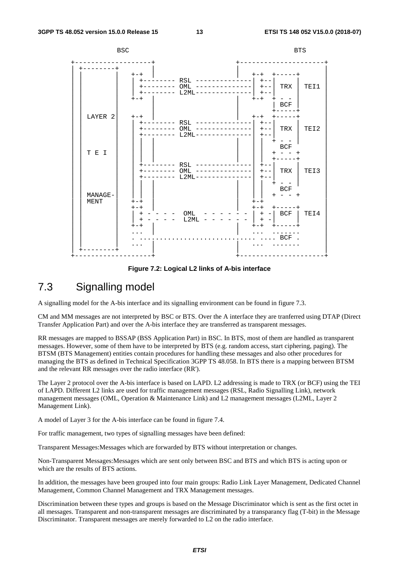

**Figure 7.2: Logical L2 links of A-bis interface** 

## 7.3 Signalling model

A signalling model for the A-bis interface and its signalling environment can be found in figure 7.3.

CM and MM messages are not interpreted by BSC or BTS. Over the A interface they are tranferred using DTAP (Direct Transfer Application Part) and over the A-bis interface they are transferred as transparent messages.

RR messages are mapped to BSSAP (BSS Application Part) in BSC. In BTS, most of them are handled as transparent messages. However, some of them have to be interpreted by BTS (e.g. random access, start ciphering, paging). The BTSM (BTS Management) entities contain procedures for handling these messages and also other procedures for managing the BTS as defined in Technical Specification 3GPP TS 48.058. In BTS there is a mapping between BTSM and the relevant RR messages over the radio interface (RR').

The Layer 2 protocol over the A-bis interface is based on LAPD. L2 addressing is made to TRX (or BCF) using the TEI of LAPD. Different L2 links are used for traffic management messages (RSL, Radio Signalling Link), network management messages (OML, Operation & Maintenance Link) and L2 management messages (L2ML, Layer 2 Management Link).

A model of Layer 3 for the A-bis interface can be found in figure 7.4.

For traffic management, two types of signalling messages have been defined:

Transparent Messages:Messages which are forwarded by BTS without interpretation or changes.

Non-Transparent Messages:Messages which are sent only between BSC and BTS and which BTS is acting upon or which are the results of BTS actions.

In addition, the messages have been grouped into four main groups: Radio Link Layer Management, Dedicated Channel Management, Common Channel Management and TRX Management messages.

Discrimination between these types and groups is based on the Message Discriminator which is sent as the first octet in all messages. Transparent and non-transparent messages are discriminated by a transparancy flag (T-bit) in the Message Discriminator. Transparent messages are merely forwarded to L2 on the radio interface.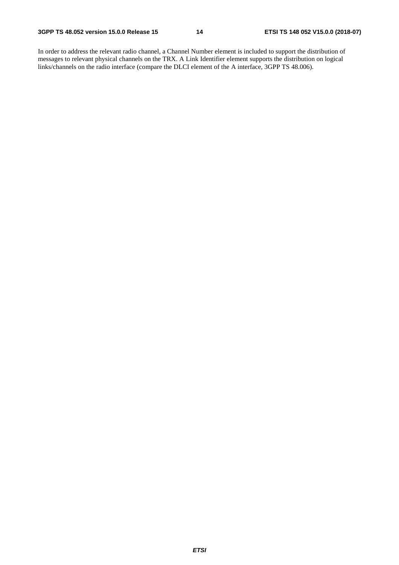In order to address the relevant radio channel, a Channel Number element is included to support the distribution of messages to relevant physical channels on the TRX. A Link Identifier element supports the distribution on logical links/channels on the radio interface (compare the DLCI element of the A interface, 3GPP TS 48.006).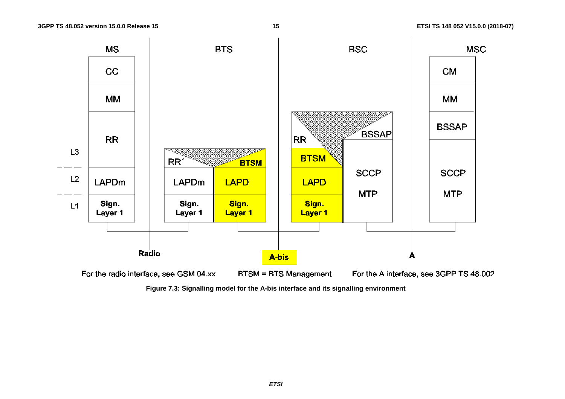

**Figure 7.3: Signalling model for the A-bis interface and its signalling environment**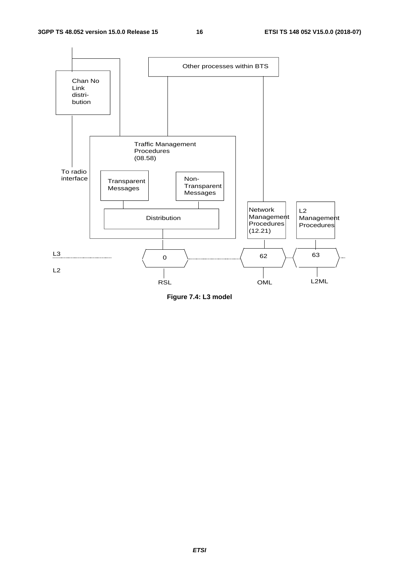

**Figure 7.4: L3 model**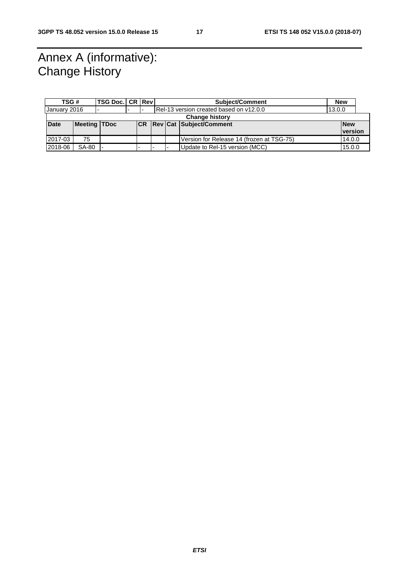# Annex A (informative): Change History

| TSG#                               |              | <b>TSG Doc. CR Rev!</b>  |  |                          |                                   | <b>Subject/Comment</b>                  |                                           |            | <b>New</b>     |        |  |
|------------------------------------|--------------|--------------------------|--|--------------------------|-----------------------------------|-----------------------------------------|-------------------------------------------|------------|----------------|--------|--|
| January 2016                       |              | $\overline{\phantom{a}}$ |  | $\overline{\phantom{0}}$ |                                   | Rel-13 version created based on v12.0.0 |                                           |            |                | 13.0.0 |  |
| <b>Change history</b>              |              |                          |  |                          |                                   |                                         |                                           |            |                |        |  |
| <b>Meeting TDoc</b><br><b>Date</b> |              |                          |  |                          | <b>CR Rev Cat Subject/Comment</b> |                                         |                                           | <b>New</b> |                |        |  |
|                                    |              |                          |  |                          |                                   |                                         |                                           |            | <b>version</b> |        |  |
| 2017-03                            | 75           |                          |  |                          |                                   |                                         | Version for Release 14 (frozen at TSG-75) |            | 14.0.0         |        |  |
| 2018-06                            | <b>SA-80</b> |                          |  |                          |                                   | Update to Rel-15 version (MCC)          |                                           |            | 15.0.0         |        |  |